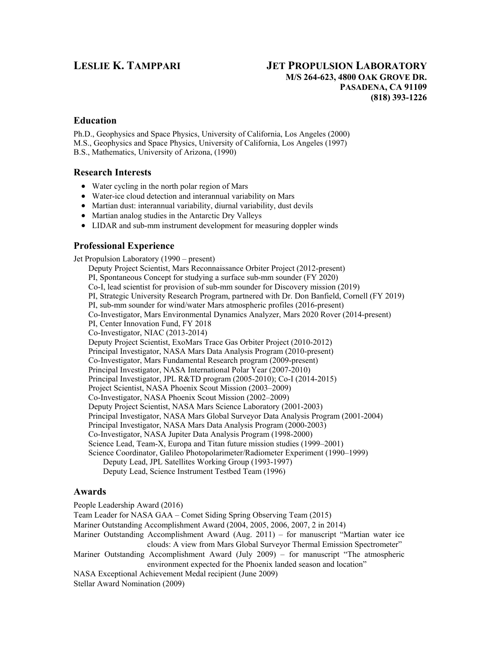# **LESLIE K. TAMPPARI JET PROPULSION LABORATORY M/S 264-623, 4800 OAK GROVE DR. PASADENA, CA 91109 (818) 393-1226**

## **Education**

Ph.D., Geophysics and Space Physics, University of California, Los Angeles (2000) M.S., Geophysics and Space Physics, University of California, Los Angeles (1997) B.S., Mathematics, University of Arizona, (1990)

## **Research Interests**

- Water cycling in the north polar region of Mars
- Water-ice cloud detection and interannual variability on Mars
- Martian dust: interannual variability, diurnal variability, dust devils
- Martian analog studies in the Antarctic Dry Valleys
- LIDAR and sub-mm instrument development for measuring doppler winds

# **Professional Experience**

Jet Propulsion Laboratory (1990 – present) Deputy Project Scientist, Mars Reconnaissance Orbiter Project (2012-present) PI, Spontaneous Concept for studying a surface sub-mm sounder (FY 2020) Co-I, lead scientist for provision of sub-mm sounder for Discovery mission (2019) PI, Strategic University Research Program, partnered with Dr. Don Banfield, Cornell (FY 2019) PI, sub-mm sounder for wind/water Mars atmospheric profiles (2016-present) Co-Investigator, Mars Environmental Dynamics Analyzer, Mars 2020 Rover (2014-present) PI, Center Innovation Fund, FY 2018 Co-Investigator, NIAC (2013-2014) Deputy Project Scientist, ExoMars Trace Gas Orbiter Project (2010-2012) Principal Investigator, NASA Mars Data Analysis Program (2010-present) Co-Investigator, Mars Fundamental Research program (2009-present) Principal Investigator, NASA International Polar Year (2007-2010) Principal Investigator, JPL R&TD program (2005-2010); Co-I (2014-2015) Project Scientist, NASA Phoenix Scout Mission (2003–2009) Co-Investigator, NASA Phoenix Scout Mission (2002–2009) Deputy Project Scientist, NASA Mars Science Laboratory (2001-2003) Principal Investigator, NASA Mars Global Surveyor Data Analysis Program (2001-2004) Principal Investigator, NASA Mars Data Analysis Program (2000-2003) Co-Investigator, NASA Jupiter Data Analysis Program (1998-2000) Science Lead, Team-X, Europa and Titan future mission studies (1999–2001) Science Coordinator, Galileo Photopolarimeter/Radiometer Experiment (1990–1999) Deputy Lead, JPL Satellites Working Group (1993-1997) Deputy Lead, Science Instrument Testbed Team (1996)

### **Awards**

People Leadership Award (2016) Team Leader for NASA GAA – Comet Siding Spring Observing Team (2015) Mariner Outstanding Accomplishment Award (2004, 2005, 2006, 2007, 2 in 2014) Mariner Outstanding Accomplishment Award (Aug. 2011) – for manuscript "Martian water ice clouds: A view from Mars Global Surveyor Thermal Emission Spectrometer" Mariner Outstanding Accomplishment Award (July 2009) – for manuscript "The atmospheric environment expected for the Phoenix landed season and location" NASA Exceptional Achievement Medal recipient (June 2009) Stellar Award Nomination (2009)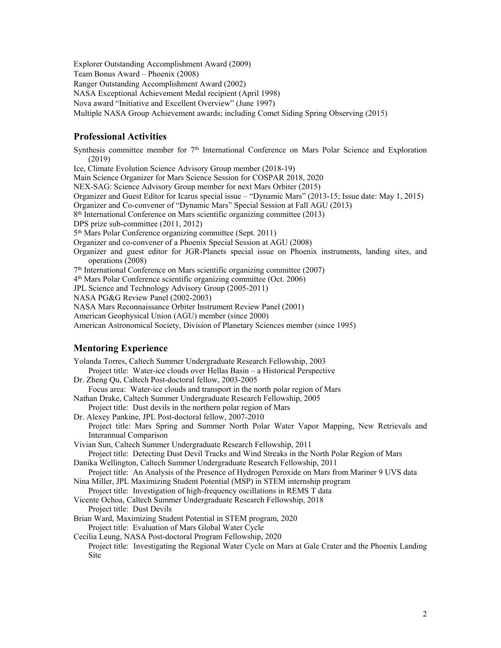Explorer Outstanding Accomplishment Award (2009) Team Bonus Award – Phoenix (2008) Ranger Outstanding Accomplishment Award (2002) NASA Exceptional Achievement Medal recipient (April 1998) Nova award "Initiative and Excellent Overview" (June 1997) Multiple NASA Group Achievement awards; including Comet Siding Spring Observing (2015)

### **Professional Activities**

Synthesis committee member for 7<sup>th</sup> International Conference on Mars Polar Science and Exploration (2019) Ice, Climate Evolution Science Advisory Group member (2018-19) Main Science Organizer for Mars Science Session for COSPAR 2018, 2020 NEX-SAG: Science Advisory Group member for next Mars Orbiter (2015) Organizer and Guest Editor for Icarus special issue – "Dynamic Mars" (2013-15; Issue date: May 1, 2015) Organizer and Co-convener of "Dynamic Mars" Special Session at Fall AGU (2013) 8th International Conference on Mars scientific organizing committee (2013) DPS prize sub-committee (2011, 2012) 5th Mars Polar Conference organizing committee (Sept. 2011) Organizer and co-convener of a Phoenix Special Session at AGU (2008) Organizer and guest editor for JGR-Planets special issue on Phoenix instruments, landing sites, and operations (2008) 7th International Conference on Mars scientific organizing committee (2007) 4th Mars Polar Conference scientific organizing committee (Oct. 2006) JPL Science and Technology Advisory Group (2005-2011) NASA PG&G Review Panel (2002-2003) NASA Mars Reconnaissance Orbiter Instrument Review Panel (2001) American Geophysical Union (AGU) member (since 2000) American Astronomical Society, Division of Planetary Sciences member (since 1995)

# **Mentoring Experience**

Yolanda Torres, Caltech Summer Undergraduate Research Fellowship, 2003 Project title: Water-ice clouds over Hellas Basin – a Historical Perspective Dr. Zheng Qu, Caltech Post-doctoral fellow, 2003-2005 Focus area: Water-ice clouds and transport in the north polar region of Mars Nathan Drake, Caltech Summer Undergraduate Research Fellowship, 2005 Project title: Dust devils in the northern polar region of Mars Dr. Alexey Pankine, JPL Post-doctoral fellow, 2007-2010 Project title: Mars Spring and Summer North Polar Water Vapor Mapping, New Retrievals and Interannual Comparison Vivian Sun, Caltech Summer Undergraduate Research Fellowship, 2011 Project title: Detecting Dust Devil Tracks and Wind Streaks in the North Polar Region of Mars Danika Wellington, Caltech Summer Undergraduate Research Fellowship, 2011 Project title: An Analysis of the Presence of Hydrogen Peroxide on Mars from Mariner 9 UVS data Nina Miller, JPL Maximizing Student Potential (MSP) in STEM internship program Project title: Investigation of high-frequency oscillations in REMS T data Vicente Ochoa, Caltech Summer Undergraduate Research Fellowship, 2018 Project title: Dust Devils Brian Ward, Maximizing Student Potential in STEM program, 2020 Project title: Evaluation of Mars Global Water Cycle Cecilia Leung, NASA Post-doctoral Program Fellowship, 2020 Project title: Investigating the Regional Water Cycle on Mars at Gale Crater and the Phoenix Landing Site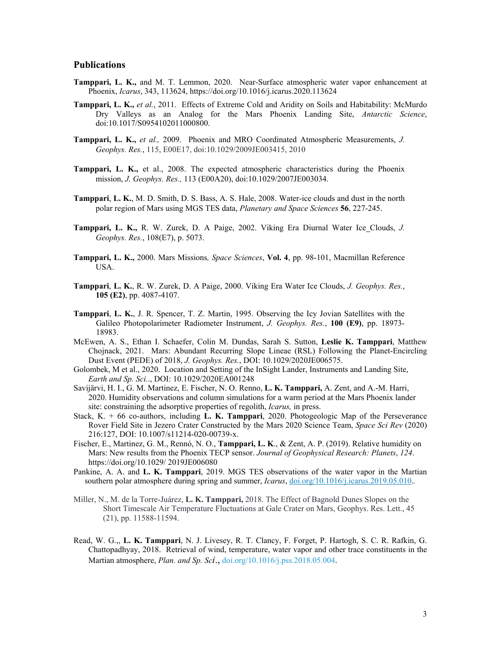### **Publications**

- **Tamppari, L. K.,** and M. T. Lemmon, 2020. Near-Surface atmospheric water vapor enhancement at Phoenix, *Icarus*, 343, 113624, https://doi.org/10.1016/j.icarus.2020.113624
- **Tamppari, L. K.,** *et al.*, 2011. Effects of Extreme Cold and Aridity on Soils and Habitability: McMurdo Dry Valleys as an Analog for the Mars Phoenix Landing Site, *Antarctic Science*, doi:10.1017/S0954102011000800.
- **Tamppari, L. K.,** *et al.,* 2009. Phoenix and MRO Coordinated Atmospheric Measurements, *J. Geophys. Res.*, 115, E00E17, doi:10.1029/2009JE003415, 2010
- **Tamppari, L. K.,** et al., 2008. The expected atmospheric characteristics during the Phoenix mission, *J. Geophys. Res.,* 113 (E00A20), doi:10.1029/2007JE003034.
- **Tamppari**, **L. K.**, M. D. Smith, D. S. Bass, A. S. Hale, 2008. Water-ice clouds and dust in the north polar region of Mars using MGS TES data, *Planetary and Space Sciences* **56**, 227-245.
- **Tamppari, L. K.,** R. W. Zurek, D. A Paige, 2002. Viking Era Diurnal Water Ice Clouds, *J. Geophys. Res.*, 108(E7), p. 5073.
- **Tamppari, L. K.,** 2000. Mars Missions*, Space Sciences*, **Vol. 4**, pp. 98-101, Macmillan Reference USA.
- **Tamppari**, **L. K.**, R. W. Zurek, D. A Paige, 2000. Viking Era Water Ice Clouds, *J. Geophys. Res.*, **105 (E2)**, pp. 4087-4107.
- **Tamppari**, **L. K.**, J. R. Spencer, T. Z. Martin, 1995. Observing the Icy Jovian Satellites with the Galileo Photopolarimeter Radiometer Instrument, *J. Geophys. Res.*, **100 (E9)**, pp. 18973- 18983.
- McEwen, A. S., Ethan I. Schaefer, Colin M. Dundas, Sarah S. Sutton, **Leslie K. Tamppari**, Matthew Chojnack, 2021. Mars: Abundant Recurring Slope Lineae (RSL) Following the Planet-Encircling Dust Event (PEDE) of 2018, *J. Geophys. Res.*, DOI: 10.1029/2020JE006575.
- Golombek, M et al., 2020. Location and Setting of the InSight Lander, Instruments and Landing Site, *Earth and Sp. Sci.*., DOI: 10.1029/2020EA001248
- Savijärvi, H. I., G. M. Martinez, E. Fischer, N. O. Renno, **L. K. Tamppari,** A. Zent, and A.-M. Harri, 2020. Humidity observations and column simulations for a warm period at the Mars Phoenix lander site: constraining the adsorptive properties of regolith, *Icarus,* in press.
- Stack, K. + 66 co-authors, including **L. K. Tamppari**, 2020. Photogeologic Map of the Perseverance Rover Field Site in Jezero Crater Constructed by the Mars 2020 Science Team, *Space Sci Rev* (2020) 216:127, DOI: 10.1007/s11214-020-00739-x.
- Fischer, E., Martinez, G. M., Rennó, N. O., **Tamppari, L. K**., & Zent, A. P. (2019). Relative humidity on Mars: New results from the Phoenix TECP sensor. *Journal of Geophysical Research: Planets*, *124*. https://doi.org/10.1029/ 2019JE006080
- Pankine, A. A. and **L. K. Tamppari**, 2019. MGS TES observations of the water vapor in the Martian southern polar atmosphere during spring and summer, *Icarus*, doi.org/10.1016/j.icarus.2019.05.010.*.*
- Miller, N., M. de la Torre-Juárez, **L. K. Tamppari,** 2018. The Effect of Bagnold Dunes Slopes on the Short Timescale Air Temperature Fluctuations at Gale Crater on Mars, Geophys. Res. Lett., 45 (21), pp. 11588-11594.
- Read, W. G.,, **L. K. Tamppari**, N. J. Livesey, R. T. Clancy, F. Forget, P. Hartogh, S. C. R. Rafkin, G. Chattopadhyay, 2018. Retrieval of wind, temperature, water vapor and other trace constituents in the Martian atmosphere, *Plan. and Sp. Sci*., doi.org/10.1016/j.pss.2018.05.004.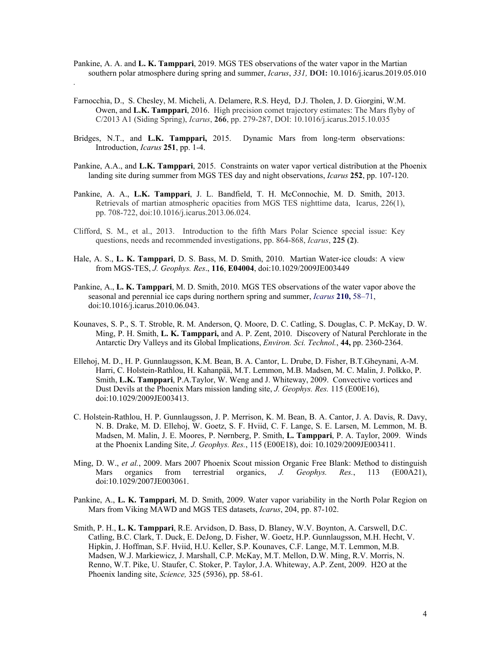- Pankine, A. A. and **L. K. Tamppari**, 2019. MGS TES observations of the water vapor in the Martian southern polar atmosphere during spring and summer, *Icarus*, *331,* **DOI:** 10.1016/j.icarus.2019.05.010
- Farnocchia, D., S. Chesley, M. Micheli, A. Delamere, R.S. Heyd, D.J. Tholen, J. D. Giorgini, W.M. Owen, and **L.K. Tamppari**, 2016. High precision comet trajectory estimates: The Mars flyby of C/2013 A1 (Siding Spring), *Icarus*, **266**, pp. 279-287, DOI: 10.1016/j.icarus.2015.10.035

*.*

- Bridges, N.T., and **L.K. Tamppari,** 2015. Dynamic Mars from long-term observations: Introduction, *Icarus* **251**, pp. 1-4.
- Pankine, A.A., and **L.K. Tamppari**, 2015. Constraints on water vapor vertical distribution at the Phoenix landing site during summer from MGS TES day and night observations, *Icarus* **252**, pp. 107-120.
- Pankine, A. A., **L.K. Tamppari**, J. L. Bandfield, T. H. McConnochie, M. D. Smith, 2013. Retrievals of martian atmospheric opacities from MGS TES nighttime data, Icarus, 226(1), pp. 708-722, doi:10.1016/j.icarus.2013.06.024.
- Clifford, S. M., et al., 2013. Introduction to the fifth Mars Polar Science special issue: Key questions, needs and recommended investigations, pp. 864-868, *Icarus*, **225 (2)**.
- Hale, A. S., **L. K. Tamppari**, D. S. Bass, M. D. Smith, 2010. Martian Water-ice clouds: A view from MGS-TES, *J. Geophys. Res*., **116**, **E04004**, doi:10.1029/2009JE003449
- Pankine, A., **L. K. Tamppari**, M. D. Smith, 2010. MGS TES observations of the water vapor above the seasonal and perennial ice caps during northern spring and summer, *Icarus* **210,** 58–71, doi:10.1016/j.icarus.2010.06.043.
- Kounaves, S. P., S. T. Stroble, R. M. Anderson, Q. Moore, D. C. Catling, S. Douglas, C. P. McKay, D. W. Ming, P. H. Smith, **L. K. Tamppari,** and A. P. Zent, 2010. Discovery of Natural Perchlorate in the Antarctic Dry Valleys and its Global Implications, *Environ. Sci. Technol.*, **44,** pp. 2360-2364.
- Ellehoj, M. D., H. P. Gunnlaugsson, K.M. Bean, B. A. Cantor, L. Drube, D. Fisher, B.T.Gheynani, A-M. Harri, C. Holstein-Rathlou, H. Kahanpää, M.T. Lemmon, M.B. Madsen, M. C. Malin, J. Polkko, P. Smith, **L.K. Tamppari**, P.A.Taylor, W. Weng and J. Whiteway, 2009. Convective vortices and Dust Devils at the Phoenix Mars mission landing site, *J. Geophys. Res.* 115 (E00E16), doi:10.1029/2009JE003413.
- C. Holstein-Rathlou, H. P. Gunnlaugsson, J. P. Merrison, K. M. Bean, B. A. Cantor, J. A. Davis, R. Davy, N. B. Drake, M. D. Ellehoj, W. Goetz, S. F. Hviid, C. F. Lange, S. E. Larsen, M. Lemmon, M. B. Madsen, M. Malin, J. E. Moores, P. Nørnberg, P. Smith, **L. Tamppari**, P. A. Taylor, 2009. Winds at the Phoenix Landing Site, *J. Geophys. Res.*, 115 (E00E18), doi: 10.1029/2009JE003411.
- Ming, D. W., *et al.*, 2009. Mars 2007 Phoenix Scout mission Organic Free Blank: Method to distinguish Mars organics from terrestrial organics, *J. Geophys. Res.*, 113 (E00A21), doi:10.1029/2007JE003061.
- Pankine, A., **L. K. Tamppari**, M. D. Smith, 2009. Water vapor variability in the North Polar Region on Mars from Viking MAWD and MGS TES datasets, *Icarus*, 204, pp. 87-102.
- Smith, P. H., **L. K. Tamppari**, R.E. Arvidson, D. Bass, D. Blaney, W.V. Boynton, A. Carswell, D.C. Catling, B.C. Clark, T. Duck, E. DeJong, D. Fisher, W. Goetz, H.P. Gunnlaugsson, M.H. Hecht, V. Hipkin, J. Hoffman, S.F. Hviid, H.U. Keller, S.P. Kounaves, C.F. Lange, M.T. Lemmon, M.B. Madsen, W.J. Markiewicz, J. Marshall, C.P. McKay, M.T. Mellon, D.W. Ming, R.V. Morris, N. Renno, W.T. Pike, U. Staufer, C. Stoker, P. Taylor, J.A. Whiteway, A.P. Zent, 2009. H2O at the Phoenix landing site, *Science,* 325 (5936), pp. 58-61.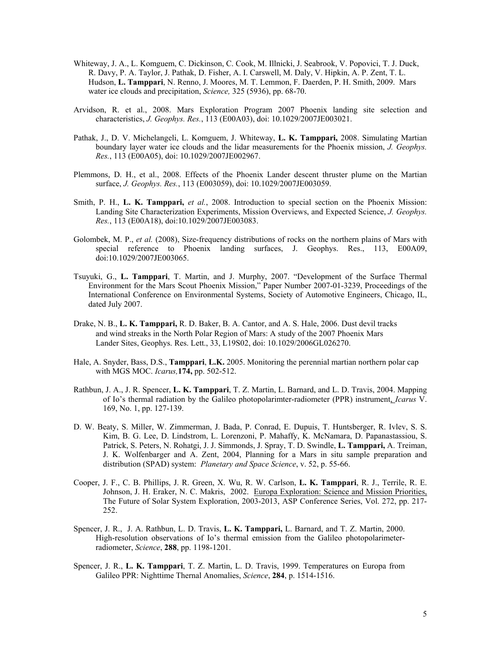- Whiteway, J. A., L. Komguem, C. Dickinson, C. Cook, M. Illnicki, J. Seabrook, V. Popovici, T. J. Duck, R. Davy, P. A. Taylor, J. Pathak, D. Fisher, A. I. Carswell, M. Daly, V. Hipkin, A. P. Zent, T. L. Hudson, **L. Tamppari**, N. Renno, J. Moores, M. T. Lemmon, F. Daerden, P. H. Smith, 2009. Mars water ice clouds and precipitation, *Science,* 325 (5936), pp. 68-70.
- Arvidson, R. et al., 2008. Mars Exploration Program 2007 Phoenix landing site selection and characteristics, *J. Geophys. Res.*, 113 (E00A03), doi: 10.1029/2007JE003021.
- Pathak, J., D. V. Michelangeli, L. Komguem, J. Whiteway, **L. K. Tamppari,** 2008. Simulating Martian boundary layer water ice clouds and the lidar measurements for the Phoenix mission, *J. Geophys. Res.*, 113 (E00A05), doi: 10.1029/2007JE002967.
- Plemmons, D. H., et al., 2008. Effects of the Phoenix Lander descent thruster plume on the Martian surface, *J. Geophys. Res.*, 113 (E003059), doi: 10.1029/2007JE003059.
- Smith, P. H., **L. K. Tamppari,** *et al.*, 2008. Introduction to special section on the Phoenix Mission: Landing Site Characterization Experiments, Mission Overviews, and Expected Science, *J. Geophys. Res.*, 113 (E00A18), doi:10.1029/2007JE003083.
- Golombek, M. P., *et al.* (2008), Size-frequency distributions of rocks on the northern plains of Mars with special reference to Phoenix landing surfaces, J. Geophys. Res., 113, E00A09, doi:10.1029/2007JE003065.
- Tsuyuki, G., **L. Tamppari**, T. Martin, and J. Murphy, 2007. "Development of the Surface Thermal Environment for the Mars Scout Phoenix Mission," Paper Number 2007-01-3239, Proceedings of the International Conference on Environmental Systems, Society of Automotive Engineers, Chicago, IL, dated July 2007.
- Drake, N. B., **L. K. Tamppari,** R. D. Baker, B. A. Cantor, and A. S. Hale, 2006. Dust devil tracks and wind streaks in the North Polar Region of Mars: A study of the 2007 Phoenix Mars Lander Sites, Geophys. Res. Lett., 33, L19S02, doi: 10.1029/2006GL026270.
- Hale, A. Snyder, Bass, D.S., **Tamppari**, **L.K.** 2005. Monitoring the perennial martian northern polar cap with MGS MOC. *Icarus,***174,** pp. 502-512.
- Rathbun, J. A., J. R. Spencer, **L. K. Tamppari**, T. Z. Martin, L. Barnard, and L. D. Travis, 2004. Mapping of Io's thermal radiation by the Galileo photopolarimter-radiometer (PPR) instrument, *Icarus* V. 169, No. 1, pp. 127-139.
- D. W. Beaty, S. Miller, W. Zimmerman, J. Bada, P. Conrad, E. Dupuis, T. Huntsberger, R. Ivlev, S. S. Kim, B. G. Lee, D. Lindstrom, L. Lorenzoni, P. Mahaffy, K. McNamara, D. Papanastassiou, S. Patrick, S. Peters, N. Rohatgi, J. J. Simmonds, J. Spray, T. D. Swindle, **L. Tamppari,** A. Treiman, J. K. Wolfenbarger and A. Zent, 2004, Planning for a Mars in situ sample preparation and distribution (SPAD) system: *Planetary and Space Science*, v. 52, p. 55-66.
- Cooper, J. F., C. B. Phillips, J. R. Green, X. Wu, R. W. Carlson, **L. K. Tamppari**, R. J., Terrile, R. E. Johnson, J. H. Eraker, N. C. Makris, 2002. Europa Exploration: Science and Mission Priorities, The Future of Solar System Exploration, 2003-2013, ASP Conference Series, Vol. 272, pp. 217- 252.
- Spencer, J. R., J. A. Rathbun, L. D. Travis, **L. K. Tamppari,** L. Barnard, and T. Z. Martin, 2000. High-resolution observations of Io's thermal emission from the Galileo photopolarimeterradiometer, *Science*, **288**, pp. 1198-1201.
- Spencer, J. R., **L. K. Tamppari**, T. Z. Martin, L. D. Travis, 1999. Temperatures on Europa from Galileo PPR: Nighttime Thernal Anomalies, *Science*, **284**, p. 1514-1516.